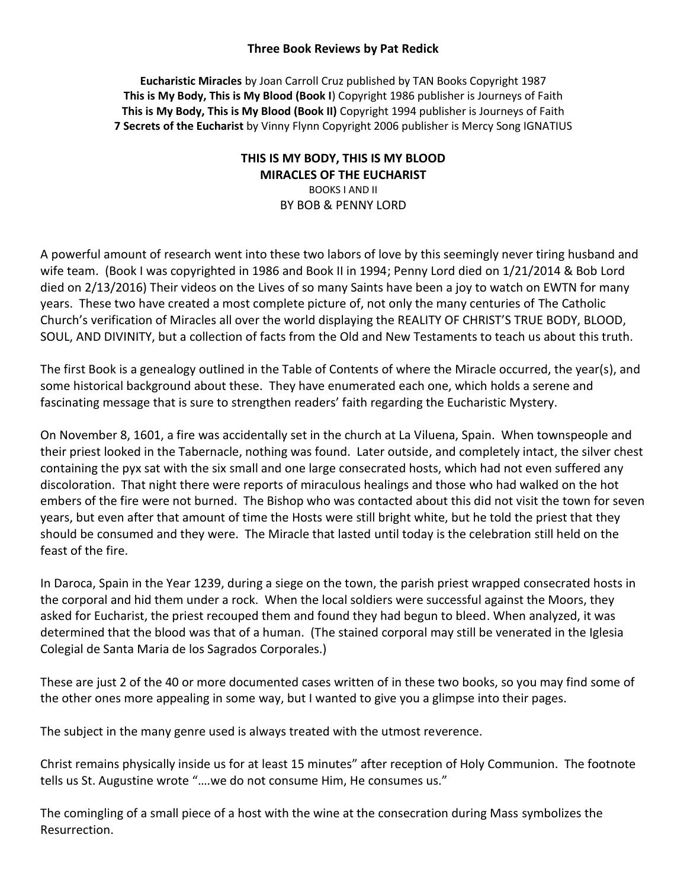## **Three Book Reviews by Pat Redick**

**Eucharistic Miracles** by Joan Carroll Cruz published by TAN Books Copyright 1987 **This is My Body, This is My Blood (Book I**) Copyright 1986 publisher is Journeys of Faith **This is My Body, This is My Blood (Book II)** Copyright 1994 publisher is Journeys of Faith **7 Secrets of the Eucharist** by Vinny Flynn Copyright 2006 publisher is Mercy Song IGNATIUS

## **THIS IS MY BODY, THIS IS MY BLOOD MIRACLES OF THE EUCHARIST** BOOKS I AND II BY BOB & PENNY LORD

A powerful amount of research went into these two labors of love by this seemingly never tiring husband and wife team. (Book I was copyrighted in 1986 and Book II in 1994; Penny Lord died on 1/21/2014 & Bob Lord died on 2/13/2016) Their videos on the Lives of so many Saints have been a joy to watch on EWTN for many years. These two have created a most complete picture of, not only the many centuries of The Catholic Church's verification of Miracles all over the world displaying the REALITY OF CHRIST'S TRUE BODY, BLOOD, SOUL, AND DIVINITY, but a collection of facts from the Old and New Testaments to teach us about this truth.

The first Book is a genealogy outlined in the Table of Contents of where the Miracle occurred, the year(s), and some historical background about these. They have enumerated each one, which holds a serene and fascinating message that is sure to strengthen readers' faith regarding the Eucharistic Mystery.

On November 8, 1601, a fire was accidentally set in the church at La Viluena, Spain. When townspeople and their priest looked in the Tabernacle, nothing was found. Later outside, and completely intact, the silver chest containing the pyx sat with the six small and one large consecrated hosts, which had not even suffered any discoloration. That night there were reports of miraculous healings and those who had walked on the hot embers of the fire were not burned. The Bishop who was contacted about this did not visit the town for seven years, but even after that amount of time the Hosts were still bright white, but he told the priest that they should be consumed and they were. The Miracle that lasted until today is the celebration still held on the feast of the fire.

In Daroca, Spain in the Year 1239, during a siege on the town, the parish priest wrapped consecrated hosts in the corporal and hid them under a rock. When the local soldiers were successful against the Moors, they asked for Eucharist, the priest recouped them and found they had begun to bleed. When analyzed, it was determined that the blood was that of a human. (The stained corporal may still be venerated in the Iglesia Colegial de Santa Maria de los Sagrados Corporales.)

These are just 2 of the 40 or more documented cases written of in these two books, so you may find some of the other ones more appealing in some way, but I wanted to give you a glimpse into their pages.

The subject in the many genre used is always treated with the utmost reverence.

Christ remains physically inside us for at least 15 minutes" after reception of Holy Communion. The footnote tells us St. Augustine wrote "….we do not consume Him, He consumes us."

The comingling of a small piece of a host with the wine at the consecration during Mass symbolizes the Resurrection.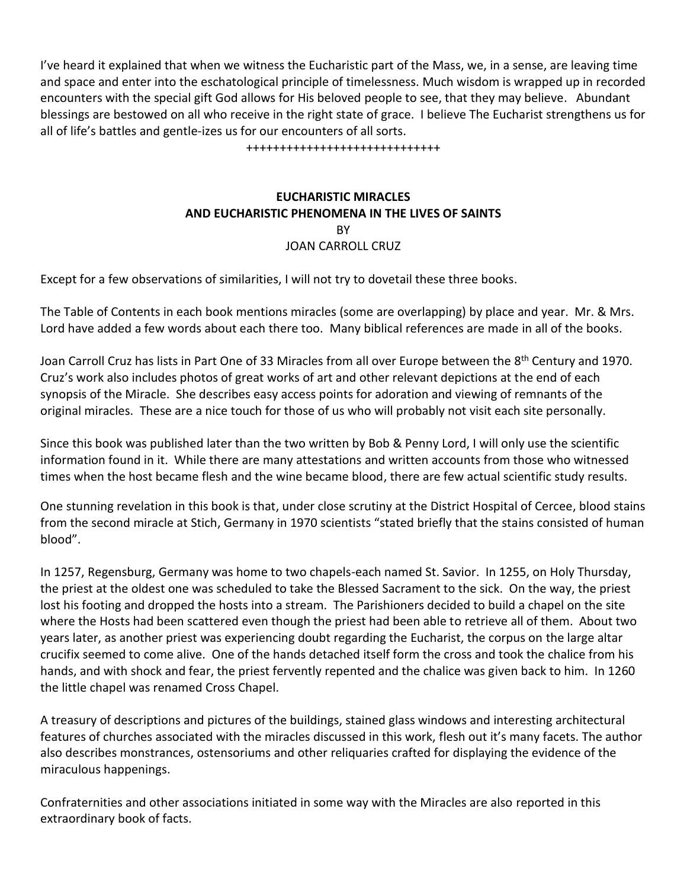I've heard it explained that when we witness the Eucharistic part of the Mass, we, in a sense, are leaving time and space and enter into the eschatological principle of timelessness. Much wisdom is wrapped up in recorded encounters with the special gift God allows for His beloved people to see, that they may believe. Abundant blessings are bestowed on all who receive in the right state of grace. I believe The Eucharist strengthens us for all of life's battles and gentle-izes us for our encounters of all sorts.

+++++++++++++++++++++++++++++

## **EUCHARISTIC MIRACLES AND EUCHARISTIC PHENOMENA IN THE LIVES OF SAINTS RY** JOAN CARROLL CRUZ

Except for a few observations of similarities, I will not try to dovetail these three books.

The Table of Contents in each book mentions miracles (some are overlapping) by place and year. Mr. & Mrs. Lord have added a few words about each there too. Many biblical references are made in all of the books.

Joan Carroll Cruz has lists in Part One of 33 Miracles from all over Europe between the 8<sup>th</sup> Century and 1970. Cruz's work also includes photos of great works of art and other relevant depictions at the end of each synopsis of the Miracle. She describes easy access points for adoration and viewing of remnants of the original miracles. These are a nice touch for those of us who will probably not visit each site personally.

Since this book was published later than the two written by Bob & Penny Lord, I will only use the scientific information found in it. While there are many attestations and written accounts from those who witnessed times when the host became flesh and the wine became blood, there are few actual scientific study results.

One stunning revelation in this book is that, under close scrutiny at the District Hospital of Cercee, blood stains from the second miracle at Stich, Germany in 1970 scientists "stated briefly that the stains consisted of human blood".

In 1257, Regensburg, Germany was home to two chapels-each named St. Savior. In 1255, on Holy Thursday, the priest at the oldest one was scheduled to take the Blessed Sacrament to the sick. On the way, the priest lost his footing and dropped the hosts into a stream. The Parishioners decided to build a chapel on the site where the Hosts had been scattered even though the priest had been able to retrieve all of them. About two years later, as another priest was experiencing doubt regarding the Eucharist, the corpus on the large altar crucifix seemed to come alive. One of the hands detached itself form the cross and took the chalice from his hands, and with shock and fear, the priest fervently repented and the chalice was given back to him. In 1260 the little chapel was renamed Cross Chapel.

A treasury of descriptions and pictures of the buildings, stained glass windows and interesting architectural features of churches associated with the miracles discussed in this work, flesh out it's many facets. The author also describes monstrances, ostensoriums and other reliquaries crafted for displaying the evidence of the miraculous happenings.

Confraternities and other associations initiated in some way with the Miracles are also reported in this extraordinary book of facts.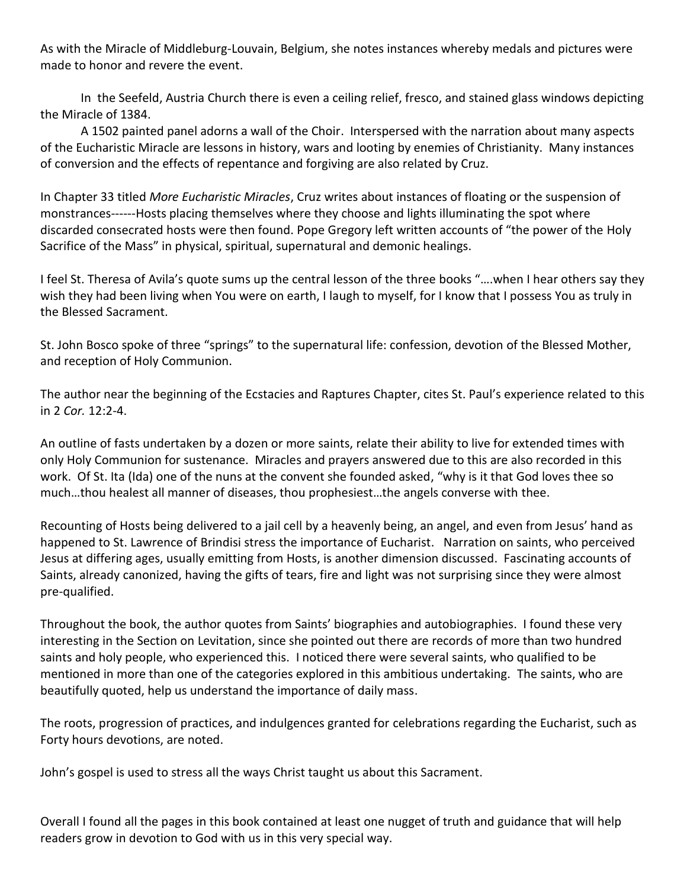As with the Miracle of Middleburg-Louvain, Belgium, she notes instances whereby medals and pictures were made to honor and revere the event.

In the Seefeld, Austria Church there is even a ceiling relief, fresco, and stained glass windows depicting the Miracle of 1384.

A 1502 painted panel adorns a wall of the Choir. Interspersed with the narration about many aspects of the Eucharistic Miracle are lessons in history, wars and looting by enemies of Christianity. Many instances of conversion and the effects of repentance and forgiving are also related by Cruz.

In Chapter 33 titled *More Eucharistic Miracles*, Cruz writes about instances of floating or the suspension of monstrances------Hosts placing themselves where they choose and lights illuminating the spot where discarded consecrated hosts were then found. Pope Gregory left written accounts of "the power of the Holy Sacrifice of the Mass" in physical, spiritual, supernatural and demonic healings.

I feel St. Theresa of Avila's quote sums up the central lesson of the three books "….when I hear others say they wish they had been living when You were on earth, I laugh to myself, for I know that I possess You as truly in the Blessed Sacrament.

St. John Bosco spoke of three "springs" to the supernatural life: confession, devotion of the Blessed Mother, and reception of Holy Communion.

The author near the beginning of the Ecstacies and Raptures Chapter, cites St. Paul's experience related to this in 2 *Cor.* 12:2-4.

An outline of fasts undertaken by a dozen or more saints, relate their ability to live for extended times with only Holy Communion for sustenance. Miracles and prayers answered due to this are also recorded in this work. Of St. Ita (Ida) one of the nuns at the convent she founded asked, "why is it that God loves thee so much…thou healest all manner of diseases, thou prophesiest…the angels converse with thee.

Recounting of Hosts being delivered to a jail cell by a heavenly being, an angel, and even from Jesus' hand as happened to St. Lawrence of Brindisi stress the importance of Eucharist. Narration on saints, who perceived Jesus at differing ages, usually emitting from Hosts, is another dimension discussed. Fascinating accounts of Saints, already canonized, having the gifts of tears, fire and light was not surprising since they were almost pre-qualified.

Throughout the book, the author quotes from Saints' biographies and autobiographies. I found these very interesting in the Section on Levitation, since she pointed out there are records of more than two hundred saints and holy people, who experienced this. I noticed there were several saints, who qualified to be mentioned in more than one of the categories explored in this ambitious undertaking. The saints, who are beautifully quoted, help us understand the importance of daily mass.

The roots, progression of practices, and indulgences granted for celebrations regarding the Eucharist, such as Forty hours devotions, are noted.

John's gospel is used to stress all the ways Christ taught us about this Sacrament.

Overall I found all the pages in this book contained at least one nugget of truth and guidance that will help readers grow in devotion to God with us in this very special way.